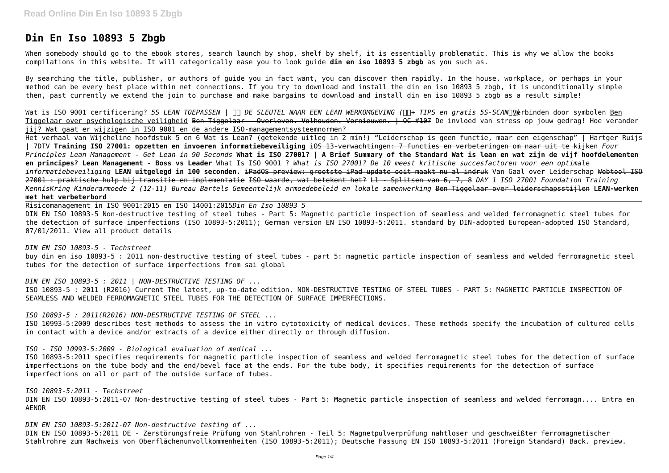# **Din En Iso 10893 5 Zbgb**

When somebody should go to the ebook stores, search launch by shop, shelf by shelf, it is essentially problematic. This is why we allow the books compilations in this website. It will categorically ease you to look guide **din en iso 10893 5 zbgb** as you such as.

By searching the title, publisher, or authors of guide you in fact want, you can discover them rapidly. In the house, workplace, or perhaps in your method can be every best place within net connections. If you try to download and install the din en iso 10893 5 zbgb, it is unconditionally simple then, past currently we extend the join to purchase and make bargains to download and install din en iso 10893 5 zbgb as a result simple!

Wat is ISO 9001 certificering? *5S LEAN TOEPASSEN* |  $||$  DE SLEUTEL NAAR EEN LEAN WERKOMGEVING ( $||$  TIPS en gratis 5S-SCAN) $\sqrt{|\psi|}$ erbinden door symbolen <u>Ben</u> Tiggelaar over psychologische veiligheid Ben Tiggelaar - Overleven. Volhouden. Vernieuwen. | OC #107 De invloed van stress op jouw gedrag! Hoe verander jij? Wat gaat er wijzigen in ISO 9001 en de andere ISO-managementsysteemnormen?

Het verhaal van Wijcheline hoofdstuk 5 en 6 Wat is Lean? (getekende uitleg in 2 min!) "Leiderschap is geen functie, maar een eigenschap" | Hartger Ruijs | 7DTV **Training ISO 27001: opzetten en invoeren informatiebeveiliging** iOS 13-verwachtingen: 7 functies en verbeteringen om naar uit te kijken *Four Principles Lean Management - Get Lean in 90 Seconds* **What is ISO 27001? | A Brief Summary of the Standard Wat is lean en wat zijn de vijf hoofdelementen en principes? Lean Management - Boss vs Leader** What Is ISO 9001 ? *What is ISO 27001? De 10 meest kritische succesfactoren voor een optimale* informatiebeveiliging **LEAN uitgelegd in 100 seconden.** <del>iPadOS preview: grootste iPad-update ooit maakt nu al indruk</del> Van Gaal over Leiderschap <del>Webtool ISO</del> 27001 : praktische hulp bij transitie en implementatie ISO waarde, wat betekent het? L1 - Splitsen van 6, 7, 8 *DAY 1 ISO 27001 Foundation Training KennisKring Kinderarmoede 2 (12-11) Bureau Bartels Gemeentelijk armoedebeleid en lokale samenwerking* Ben Tiggelaar over leiderschapsstijlen **LEAN-werken met het verbeterbord**

Risicomanagement in ISO 9001:2015 en ISO 14001:2015*Din En Iso 10893 5* DIN EN ISO 10893-5 Non-destructive testing of steel tubes - Part 5: Magnetic particle inspection of seamless and welded ferromagnetic steel tubes for the detection of surface imperfections (ISO 10893-5:2011); German version EN ISO 10893-5:2011. standard by DIN-adopted European-adopted ISO Standard, 07/01/2011. View all product details

*DIN EN ISO 10893-5 - Techstreet*

buy din en iso 10893-5 : 2011 non-destructive testing of steel tubes - part 5: magnetic particle inspection of seamless and welded ferromagnetic steel tubes for the detection of surface imperfections from sai global

*DIN EN ISO 10893-5 : 2011 | NON-DESTRUCTIVE TESTING OF ...*

ISO 10893-5 : 2011 (R2016) Current The latest, up-to-date edition. NON-DESTRUCTIVE TESTING OF STEEL TUBES - PART 5: MAGNETIC PARTICLE INSPECTION OF SEAMLESS AND WELDED FERROMAGNETIC STEEL TUBES FOR THE DETECTION OF SURFACE IMPERFECTIONS.

*ISO 10893-5 : 2011(R2016) NON-DESTRUCTIVE TESTING OF STEEL ...*

ISO 10993-5:2009 describes test methods to assess the in vitro cytotoxicity of medical devices. These methods specify the incubation of cultured cells in contact with a device and/or extracts of a device either directly or through diffusion.

*ISO - ISO 10993-5:2009 - Biological evaluation of medical ...*

ISO 10893-5:2011 specifies requirements for magnetic particle inspection of seamless and welded ferromagnetic steel tubes for the detection of surface imperfections on the tube body and the end/bevel face at the ends. For the tube body, it specifies requirements for the detection of surface imperfections on all or part of the outside surface of tubes.

*ISO 10893-5:2011 - Techstreet*

DIN EN ISO 10893-5:2011-07 Non-destructive testing of steel tubes - Part 5: Magnetic particle inspection of seamless and welded ferromagn.... Entra en AENOR

*DIN EN ISO 10893-5:2011-07 Non-destructive testing of ...*

DIN EN ISO 10893-5:2011 DE - Zerstörungsfreie Prüfung von Stahlrohren - Teil 5: Magnetpulverprüfung nahtloser und geschweißter ferromagnetischer Stahlrohre zum Nachweis von Oberflächenunvollkommenheiten (ISO 10893-5:2011); Deutsche Fassung EN ISO 10893-5:2011 (Foreign Standard) Back. preview.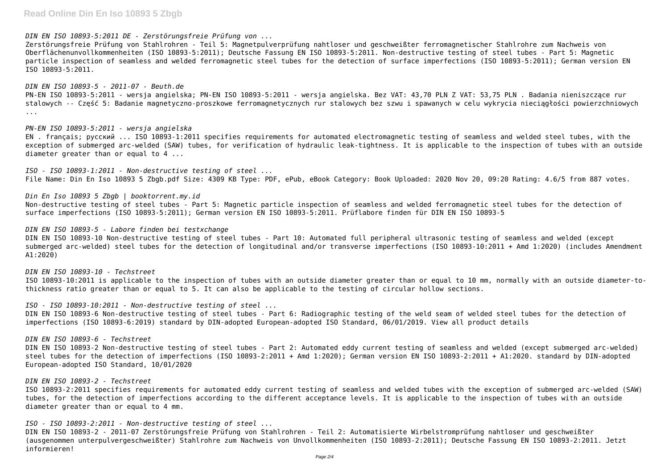### **Read Online Din En Iso 10893 5 Zbgb**

*DIN EN ISO 10893-5:2011 DE - Zerstörungsfreie Prüfung von ...*

Zerstörungsfreie Prüfung von Stahlrohren - Teil 5: Magnetpulverprüfung nahtloser und geschweißter ferromagnetischer Stahlrohre zum Nachweis von Oberflächenunvollkommenheiten (ISO 10893-5:2011); Deutsche Fassung EN ISO 10893-5:2011. Non-destructive testing of steel tubes - Part 5: Magnetic particle inspection of seamless and welded ferromagnetic steel tubes for the detection of surface imperfections (ISO 10893-5:2011); German version EN ISO 10893-5:2011.

*PN-EN ISO 10893-5:2011 - wersja angielska* EN . français; русский ... ISO 10893-1:2011 specifies requirements for automated electromagnetic testing of seamless and welded steel tubes, with the exception of submerged arc-welded (SAW) tubes, for verification of hydraulic leak-tightness. It is applicable to the inspection of tubes with an outside diameter greater than or equal to 4 ...

*DIN EN ISO 10893-5 - 2011-07 - Beuth.de* PN-EN ISO 10893-5:2011 - wersja angielska; PN-EN ISO 10893-5:2011 - wersja angielska. Bez VAT: 43,70 PLN Z VAT: 53,75 PLN . Badania nieniszczące rur stalowych -- Część 5: Badanie magnetyczno-proszkowe ferromagnetycznych rur stalowych bez szwu i spawanych w celu wykrycia nieciągłości powierzchniowych ...

*ISO - ISO 10893-1:2011 - Non-destructive testing of steel ...* File Name: Din En Iso 10893 5 Zbgb.pdf Size: 4309 KB Type: PDF, ePub, eBook Category: Book Uploaded: 2020 Nov 20, 09:20 Rating: 4.6/5 from 887 votes.

*Din En Iso 10893 5 Zbgb | booktorrent.my.id* Non-destructive testing of steel tubes - Part 5: Magnetic particle inspection of seamless and welded ferromagnetic steel tubes for the detection of surface imperfections (ISO 10893-5:2011); German version EN ISO 10893-5:2011. Prüflabore finden für DIN EN ISO 10893-5

#### *DIN EN ISO 10893-5 - Labore finden bei testxchange*

DIN EN ISO 10893-10 Non-destructive testing of steel tubes - Part 10: Automated full peripheral ultrasonic testing of seamless and welded (except submerged arc-welded) steel tubes for the detection of longitudinal and/or transverse imperfections (ISO 10893-10:2011 + Amd 1:2020) (includes Amendment A1:2020)

*DIN EN ISO 10893-10 - Techstreet* ISO 10893-10:2011 is applicable to the inspection of tubes with an outside diameter greater than or equal to 10 mm, normally with an outside diameter-tothickness ratio greater than or equal to 5. It can also be applicable to the testing of circular hollow sections.

*ISO - ISO 10893-10:2011 - Non-destructive testing of steel ...*

DIN EN ISO 10893-6 Non-destructive testing of steel tubes - Part 6: Radiographic testing of the weld seam of welded steel tubes for the detection of imperfections (ISO 10893-6:2019) standard by DIN-adopted European-adopted ISO Standard, 06/01/2019. View all product details

#### *DIN EN ISO 10893-6 - Techstreet*

DIN EN ISO 10893-2 Non-destructive testing of steel tubes - Part 2: Automated eddy current testing of seamless and welded (except submerged arc-welded) steel tubes for the detection of imperfections (ISO 10893-2:2011 + Amd 1:2020); German version EN ISO 10893-2:2011 + A1:2020. standard by DIN-adopted European-adopted ISO Standard, 10/01/2020

#### *DIN EN ISO 10893-2 - Techstreet*

ISO 10893-2:2011 specifies requirements for automated eddy current testing of seamless and welded tubes with the exception of submerged arc-welded (SAW) tubes, for the detection of imperfections according to the different acceptance levels. It is applicable to the inspection of tubes with an outside diameter greater than or equal to 4 mm.

*ISO - ISO 10893-2:2011 - Non-destructive testing of steel ...*

DIN EN ISO 10893-2 - 2011-07 Zerstörungsfreie Prüfung von Stahlrohren - Teil 2: Automatisierte Wirbelstromprüfung nahtloser und geschweißter (ausgenommen unterpulvergeschweißter) Stahlrohre zum Nachweis von Unvollkommenheiten (ISO 10893-2:2011); Deutsche Fassung EN ISO 10893-2:2011. Jetzt informieren!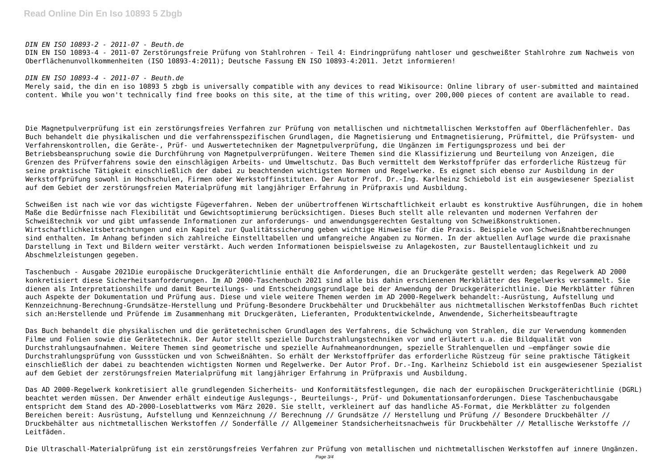#### *DIN EN ISO 10893-2 - 2011-07 - Beuth.de*

DIN EN ISO 10893-4 - 2011-07 Zerstörungsfreie Prüfung von Stahlrohren - Teil 4: Eindringprüfung nahtloser und geschweißter Stahlrohre zum Nachweis von Oberflächenunvollkommenheiten (ISO 10893-4:2011); Deutsche Fassung EN ISO 10893-4:2011. Jetzt informieren!

#### *DIN EN ISO 10893-4 - 2011-07 - Beuth.de*

Merely said, the din en iso 10893 5 zbgb is universally compatible with any devices to read Wikisource: Online library of user-submitted and maintained content. While you won't technically find free books on this site, at the time of this writing, over 200,000 pieces of content are available to read.

Die Magnetpulverprüfung ist ein zerstörungsfreies Verfahren zur Prüfung von metallischen und nichtmetallischen Werkstoffen auf Oberflächenfehler. Das Buch behandelt die physikalischen und die verfahrensspezifischen Grundlagen, die Magnetisierung und Entmagnetisierung, Prüfmittel, die Prüfsystem- und Verfahrenskontrollen, die Geräte-, Prüf- und Auswertetechniken der Magnetpulverprüfung, die Ungänzen im Fertigungsprozess und bei der Betriebsbeanspruchung sowie die Durchführung von Magnetpulverprüfungen. Weitere Themen sind die Klassifizierung und Beurteilung von Anzeigen, die Grenzen des Prüfverfahrens sowie den einschlägigen Arbeits- und Umweltschutz. Das Buch vermittelt dem Werkstoffprüfer das erforderliche Rüstzeug für seine praktische Tätigkeit einschließlich der dabei zu beachtenden wichtigsten Normen und Regelwerke. Es eignet sich ebenso zur Ausbildung in der Werkstoffprüfung sowohl in Hochschulen, Firmen oder Werkstoffinstituten. Der Autor Prof. Dr.-Ing. Karlheinz Schiebold ist ein ausgewiesener Spezialist auf dem Gebiet der zerstörungsfreien Materialprüfung mit langjähriger Erfahrung in Prüfpraxis und Ausbildung.

Schweißen ist nach wie vor das wichtigste Fügeverfahren. Neben der unübertroffenen Wirtschaftlichkeit erlaubt es konstruktive Ausführungen, die in hohem Maße die Bedürfnisse nach Flexibilität und Gewichtsoptimierung berücksichtigen. Dieses Buch stellt alle relevanten und modernen Verfahren der Schweißtechnik vor und gibt umfassende Informationen zur anforderungs- und anwendungsgerechten Gestaltung von Schweißkonstruktionen. Wirtschaftlichkeitsbetrachtungen und ein Kapitel zur Qualitätssicherung geben wichtige Hinweise für die Praxis. Beispiele von Schweißnahtberechnungen sind enthalten. Im Anhang befinden sich zahlreiche Einstelltabellen und umfangreiche Angaben zu Normen. In der aktuellen Auflage wurde die praxisnahe Darstellung in Text und Bildern weiter verstärkt. Auch werden Informationen beispielsweise zu Anlagekosten, zur Baustellentauglichkeit und zu Abschmelzleistungen gegeben.

Taschenbuch - Ausgabe 2021Die europäische Druckgeräterichtlinie enthält die Anforderungen, die an Druckgeräte gestellt werden; das Regelwerk AD 2000 konkretisiert diese Sicherheitsanforderungen. Im AD 2000-Taschenbuch 2021 sind alle bis dahin erschienenen Merkblätter des Regelwerks versammelt. Sie dienen als Interpretationshilfe und damit Beurteilungs- und Entscheidungsgrundlage bei der Anwendung der Druckgeräterichtlinie. Die Merkblätter führen auch Aspekte der Dokumentation und Prüfung aus. Diese und viele weitere Themen werden im AD 2000-Regelwerk behandelt:-Ausrüstung, Aufstellung und Kennzeichnung-Berechnung-Grundsätze-Herstellung und Prüfung-Besondere Druckbehälter und Druckbehälter aus nichtmetallischen WerkstoffenDas Buch richtet sich an:Herstellende und Prüfende im Zusammenhang mit Druckgeräten, Lieferanten, Produktentwickelnde, Anwendende, Sicherheitsbeauftragte

Das Buch behandelt die physikalischen und die gerätetechnischen Grundlagen des Verfahrens, die Schwächung von Strahlen, die zur Verwendung kommenden Filme und Folien sowie die Gerätetechnik. Der Autor stellt spezielle Durchstrahlungstechniken vor und erläutert u.a. die Bildqualität von Durchstrahlungsaufnahmen. Weitere Themen sind geometrische und spezielle Aufnahmeanordnungen, spezielle Strahlenquellen und –empfänger sowie die Durchstrahlungsprüfung von Gussstücken und von Schweißnähten. So erhält der Werkstoffprüfer das erforderliche Rüstzeug für seine praktische Tätigkeit einschließlich der dabei zu beachtenden wichtigsten Normen und Regelwerke. Der Autor Prof. Dr.-Ing. Karlheinz Schiebold ist ein ausgewiesener Spezialist auf dem Gebiet der zerstörungsfreien Materialprüfung mit langjähriger Erfahrung in Prüfpraxis und Ausbildung.

Das AD 2000-Regelwerk konkretisiert alle grundlegenden Sicherheits- und Konformitätsfestlegungen, die nach der europäischen Druckgeräterichtlinie (DGRL) beachtet werden müssen. Der Anwender erhält eindeutige Auslegungs-, Beurteilungs-, Prüf- und Dokumentationsanforderungen. Diese Taschenbuchausgabe entspricht dem Stand des AD-2000-Loseblattwerks vom März 2020. Sie stellt, verkleinert auf das handliche A5-Format, die Merkblätter zu folgenden Bereichen bereit: Ausrüstung, Aufstellung und Kennzeichnung // Berechnung // Grundsätze // Herstellung und Prüfung // Besondere Druckbehälter // Druckbehälter aus nichtmetallischen Werkstoffen // Sonderfälle // Allgemeiner Standsicherheitsnachweis für Druckbehälter // Metallische Werkstoffe // Leitfäden.

Die Ultraschall-Materialprüfung ist ein zerstörungsfreies Verfahren zur Prüfung von metallischen und nichtmetallischen Werkstoffen auf innere Ungänzen.